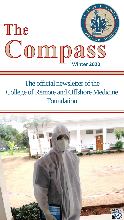

## The official newsletter of the College of Remote and Offshore Medicine Foundation

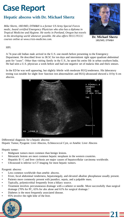## **Case Report**

## **Hepatic abscess with Dr. Michael Shertz**

*Mike Shertz, 18D/MD, DTM&H is a former US Army Special Forces medic, board certified Emergency Physician who also has a diploma in Tropical Medicine and Hygiene. He works in Portland, Oregon but travels in the developing world whenever possible. He also offers TECC/TCCC courses online at www.crisis-medicine.com.*



**Dr. Michael Shertz** 18D/MD, DTM&H

**21**

## HPI:

A 74-year-old Indian male arrived in the U.S. one month before presenting to the Emergency Department. He described fever to 38.5C for ten days and intermittent right upper quadrant abdominal pain for "years". Other than visiting family in the U.S., he spent his entire life in urban southern India. He had seen a U.S. physician a week before and had one negative set of malaria thin and thick smears.

In the ED he was well appearing, but slightly febrile with moderate RUQ tenderness. His laboratory testing was notable for slight liver function test abnormalities and RUQ ultrasound showed a 10 by 6 cm abscess.



Differential diagnosis for a hepatic abscess:

Hepatic Tumor, Pyogenic Liver Abscess, Echinococcal Cyst, or Amebic Liver Abscess

Hepatic tumor:

- Malignant tumors more common than benign lesions.
- Metastatic lesions are most common hepatic neoplasm in the western countries.
- Hepatitis B / C and liver cirrhosis are major causes of hepatocellular carcinoma worldwide.
- Ultrasound is inferior to CT imaging for most hepatic tumors.

Pyogenic abscess:

- Less common worldwide than amebic abscess.
- Fever, focal abdominal tenderness, hepatomegaly, and elevated alkaline phosphatase usually present.
- Patients more commonly present with jaundice, sepsis, and a palpable mass.
- Typically, polymicrobial frequently from a biliary source.
- Treatment involves percutaneaous drainage with a catheter or needle. More successfully than surgical drainage (70% for PC, 65% for abx alone and 61% for surgical drainage.<sup>1</sup>
- Diabetes is the most frequently associated disease.
- 95% involve the right lobe of the liver.